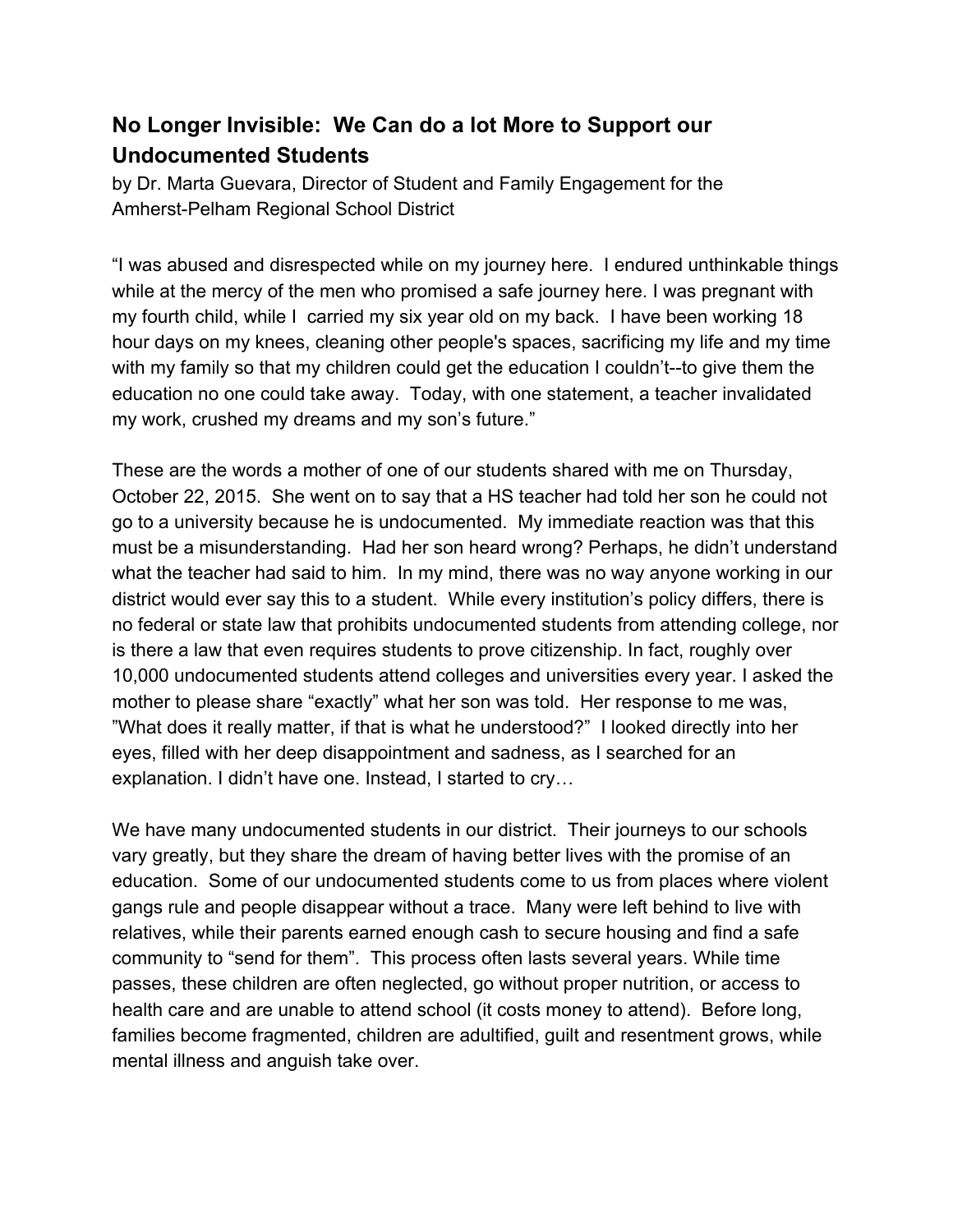## **No Longer Invisible: We Can do a lot More to Support our Undocumented Students**

by Dr. Marta Guevara, Director of Student and Family Engagement for the Amherst-Pelham Regional School District

"I was abused and disrespected while on my journey here. I endured unthinkable things while at the mercy of the men who promised a safe journey here. I was pregnant with my fourth child, while I carried my six year old on my back. I have been working 18 hour days on my knees, cleaning other people's spaces, sacrificing my life and my time with my family so that my children could get the education I couldn't--to give them the education no one could take away. Today, with one statement, a teacher invalidated my work, crushed my dreams and my son's future."

These are the words a mother of one of our students shared with me on Thursday, October 22, 2015. She went on to say that a HS teacher had told her son he could not go to a university because he is undocumented. My immediate reaction was that this must be a misunderstanding. Had her son heard wrong? Perhaps, he didn't understand what the teacher had said to him. In my mind, there was no way anyone working in our district would ever say this to a student. While every institution's policy differs, there is no federal or state law that prohibits undocumented students from attending college, nor is there a law that even requires students to prove citizenship. In fact, roughly over 10,000 undocumented students attend colleges and universities every year. I asked the mother to please share "exactly" what her son was told. Her response to me was, "What does it really matter, if that is what he understood?" I looked directly into her eyes, filled with her deep disappointment and sadness, as I searched for an explanation. I didn't have one. Instead, I started to cry…

We have many undocumented students in our district. Their journeys to our schools vary greatly, but they share the dream of having better lives with the promise of an education. Some of our undocumented students come to us from places where violent gangs rule and people disappear without a trace. Many were left behind to live with relatives, while their parents earned enough cash to secure housing and find a safe community to "send for them". This process often lasts several years. While time passes, these children are often neglected, go without proper nutrition, or access to health care and are unable to attend school (it costs money to attend). Before long, families become fragmented, children are adultified, guilt and resentment grows, while mental illness and anguish take over.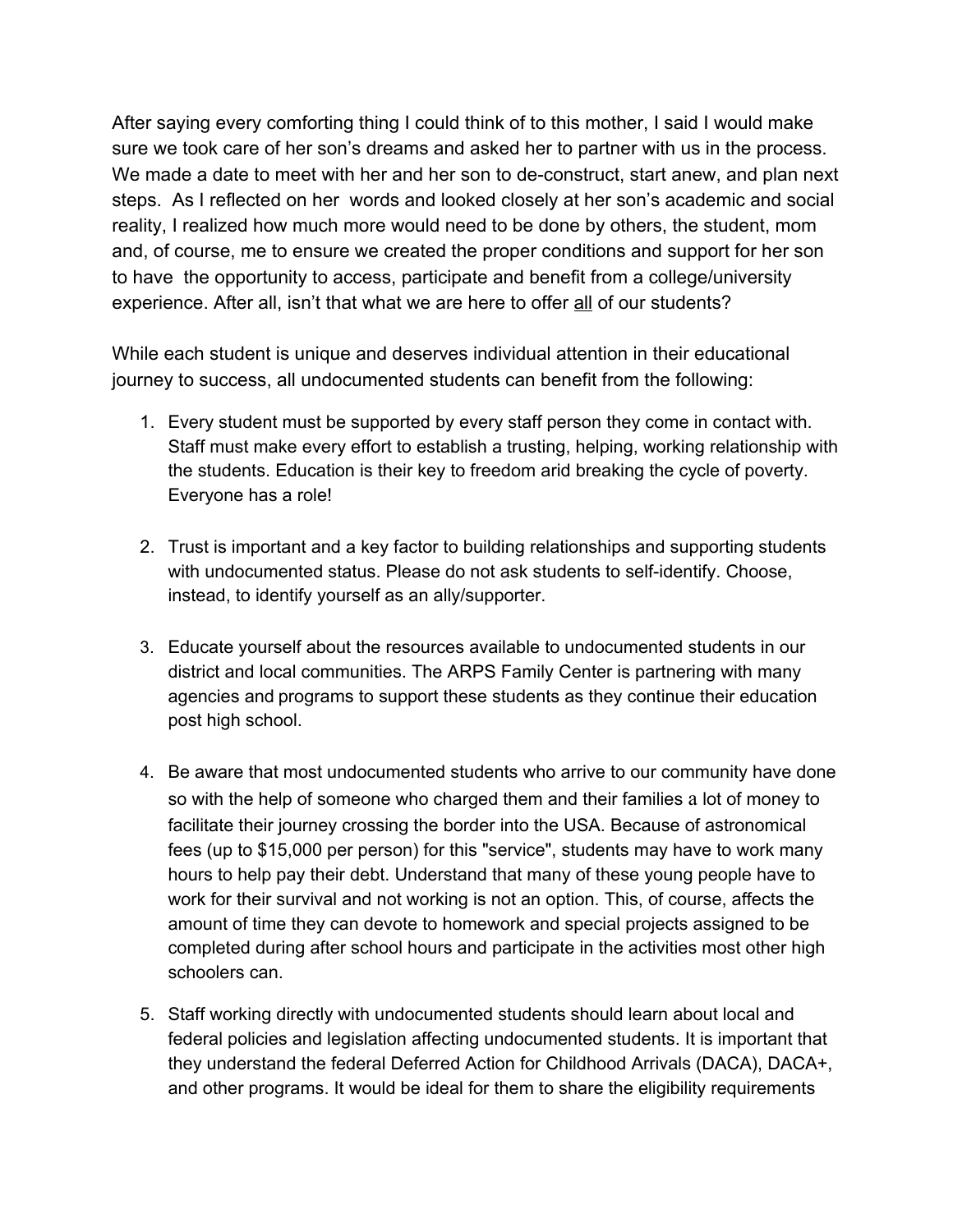After saying every comforting thing I could think of to this mother, I said I would make sure we took care of her son's dreams and asked her to partner with us in the process. We made a date to meet with her and her son to de-construct, start anew, and plan next steps. As I reflected on her words and looked closely at her son's academic and social reality, I realized how much more would need to be done by others, the student, mom and, of course, me to ensure we created the proper conditions and support for her son to have the opportunity to access, participate and benefit from a college/university experience. After all, isn't that what we are here to offer all of our students?

While each student is unique and deserves individual attention in their educational journey to success, all undocumented students can benefit from the following:

- 1. Every student must be supported by every staff person they come in contact with. Staff must make every effort to establish a trusting, helping, working relationship with the students. Education is their key to freedom arid breaking the cycle of poverty. Everyone has a role!
- 2. Trust is important and a key factor to building relationships and supporting students with undocumented status. Please do not ask students to self-identify. Choose, instead, to identify yourself as an ally/supporter.
- 3. Educate yourself about the resources available to undocumented students in our district and local communities. The ARPS Family Center is partnering with many agencies and programs to support these students as they continue their education post high school.
- 4. Be aware that most undocumented students who arrive to our community have done so with the help of someone who charged them and their families a lot of money to facilitate their journey crossing the border into the USA. Because of astronomical fees (up to \$15,000 per person) for this "service", students may have to work many hours to help pay their debt. Understand that many of these young people have to work for their survival and not working is not an option. This, of course, affects the amount of time they can devote to homework and special projects assigned to be completed during after school hours and participate in the activities most other high schoolers can.
- 5. Staff working directly with undocumented students should learn about local and federal policies and legislation affecting undocumented students. It is important that they understand the federal Deferred Action for Childhood Arrivals (DACA), DACA+, and other programs. It would be ideal for them to share the eligibility requirements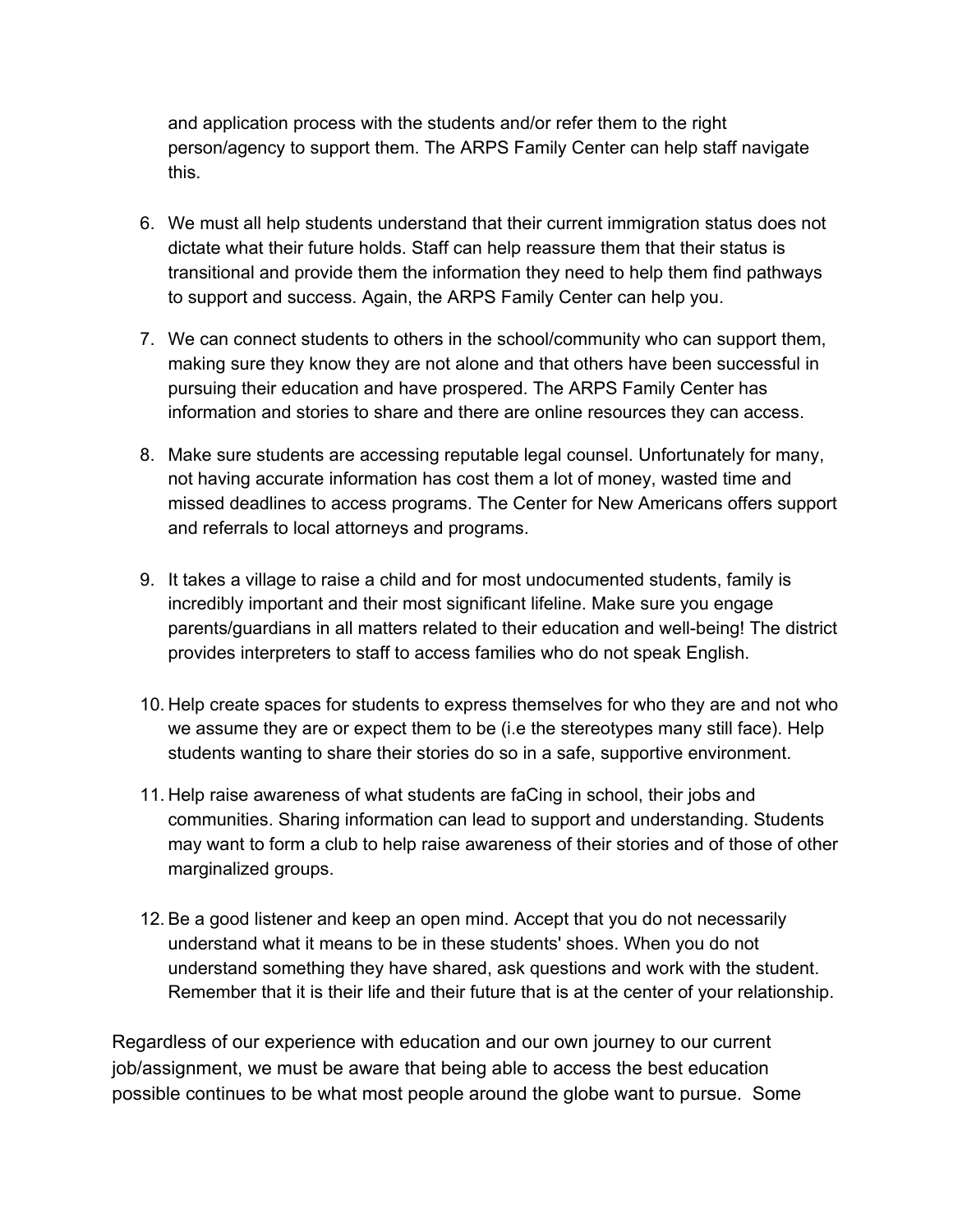and application process with the students and/or refer them to the right person/agency to support them. The ARPS Family Center can help staff navigate this.

- 6. We must all help students understand that their current immigration status does not dictate what their future holds. Staff can help reassure them that their status is transitional and provide them the information they need to help them find pathways to support and success. Again, the ARPS Family Center can help you.
- 7. We can connect students to others in the school/community who can support them, making sure they know they are not alone and that others have been successful in pursuing their education and have prospered. The ARPS Family Center has information and stories to share and there are online resources they can access.
- 8. Make sure students are accessing reputable legal counsel. Unfortunately for many, not having accurate information has cost them a lot of money, wasted time and missed deadlines to access programs. The Center for New Americans offers support and referrals to local attorneys and programs.
- 9. It takes a village to raise a child and for most undocumented students, family is incredibly important and their most significant lifeline. Make sure you engage parents/guardians in all matters related to their education and well-being! The district provides interpreters to staff to access families who do not speak English.
- 10. Help create spaces for students to express themselves for who they are and not who we assume they are or expect them to be (i.e the stereotypes many still face). Help students wanting to share their stories do so in a safe, supportive environment.
- 11. Help raise awareness of what students are faCing in school, their jobs and communities. Sharing information can lead to support and understanding. Students may want to form a club to help raise awareness of their stories and of those of other marginalized groups.
- 12. Be a good listener and keep an open mind. Accept that you do not necessarily understand what it means to be in these students' shoes. When you do not understand something they have shared, ask questions and work with the student. Remember that it is their life and their future that is at the center of your relationship.

Regardless of our experience with education and our own journey to our current job/assignment, we must be aware that being able to access the best education possible continues to be what most people around the globe want to pursue. Some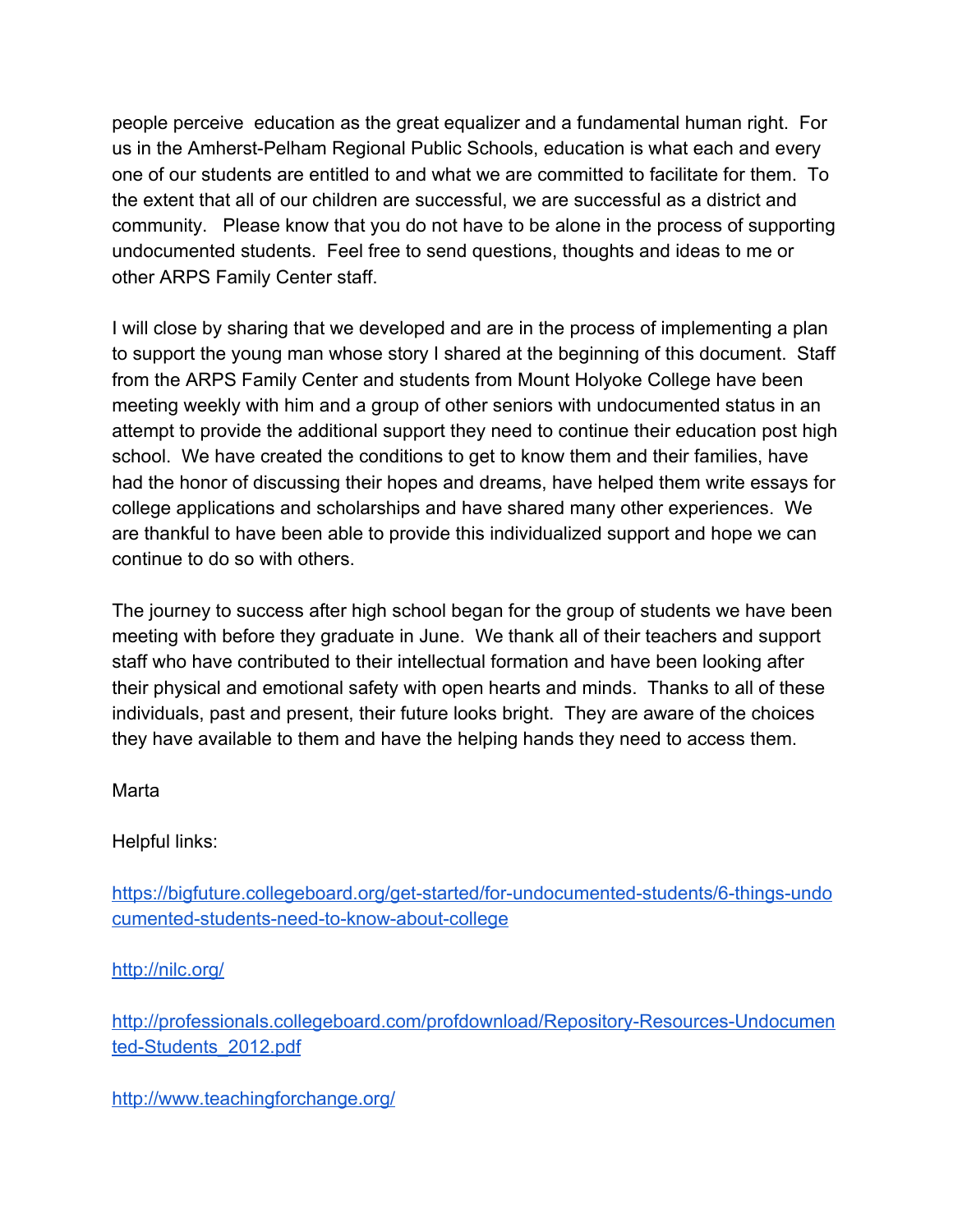people perceive education as the great equalizer and a fundamental human right. For us in the Amherst-Pelham Regional Public Schools, education is what each and every one of our students are entitled to and what we are committed to facilitate for them. To the extent that all of our children are successful, we are successful as a district and community. Please know that you do not have to be alone in the process of supporting undocumented students. Feel free to send questions, thoughts and ideas to me or other ARPS Family Center staff.

I will close by sharing that we developed and are in the process of implementing a plan to support the young man whose story I shared at the beginning of this document. Staff from the ARPS Family Center and students from Mount Holyoke College have been meeting weekly with him and a group of other seniors with undocumented status in an attempt to provide the additional support they need to continue their education post high school. We have created the conditions to get to know them and their families, have had the honor of discussing their hopes and dreams, have helped them write essays for college applications and scholarships and have shared many other experiences. We are thankful to have been able to provide this individualized support and hope we can continue to do so with others.

The journey to success after high school began for the group of students we have been meeting with before they graduate in June. We thank all of their teachers and support staff who have contributed to their intellectual formation and have been looking after their physical and emotional safety with open hearts and minds. Thanks to all of these individuals, past and present, their future looks bright. They are aware of the choices they have available to them and have the helping hands they need to access them.

Marta

Helpful links:

[https://bigfuture.collegeboard.org/get-started/for-undocumented-students/6-things-undo](https://bigfuture.collegeboard.org/get-started/for-undocumented-students/6-things-undocumented-students-need-to-know-about-college) [cumented-students-need-to-know-about-college](https://bigfuture.collegeboard.org/get-started/for-undocumented-students/6-things-undocumented-students-need-to-know-about-college)

<http://nilc.org/>

[http://professionals.collegeboard.com/profdownload/Repository-Resources-Undocumen](http://professionals.collegeboard.com/profdownload/Repository-Resources-Undocumented-Students_2012.pdf) [ted-Students\\_2012.pdf](http://professionals.collegeboard.com/profdownload/Repository-Resources-Undocumented-Students_2012.pdf)

<http://www.teachingforchange.org/>